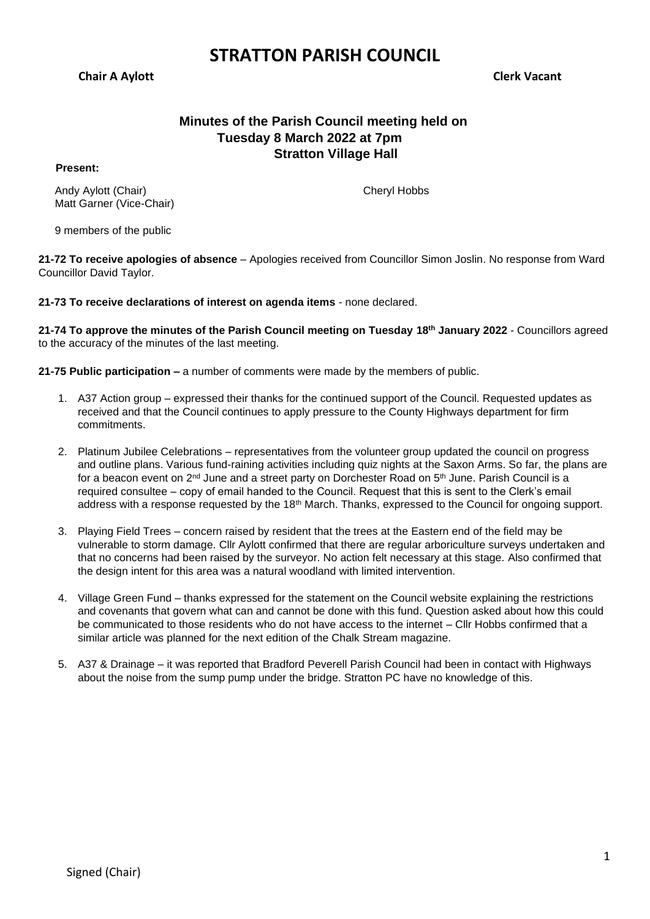**Chair A Aylott Clerk Vacant**

# **Minutes of the Parish Council meeting held on Tuesday 8 March 2022 at 7pm Stratton Village Hall**

**Present:**

Andy Aylott (Chair) Matt Garner (Vice-Chair) Cheryl Hobbs

9 members of the public

**21-72 To receive apologies of absence** – Apologies received from Councillor Simon Joslin. No response from Ward Councillor David Taylor.

**21-73 To receive declarations of interest on agenda items** - none declared.

**21-74 To approve the minutes of the Parish Council meeting on Tuesday 18th January 2022** - Councillors agreed to the accuracy of the minutes of the last meeting.

**21-75 Public participation –** a number of comments were made by the members of public.

- 1. A37 Action group expressed their thanks for the continued support of the Council. Requested updates as received and that the Council continues to apply pressure to the County Highways department for firm commitments.
- 2. Platinum Jubilee Celebrations representatives from the volunteer group updated the council on progress and outline plans. Various fund-raining activities including quiz nights at the Saxon Arms. So far, the plans are for a beacon event on  $2^{nd}$  June and a street party on Dorchester Road on  $5^{th}$  June. Parish Council is a required consultee – copy of email handed to the Council. Request that this is sent to the Clerk's email address with a response requested by the 18<sup>th</sup> March. Thanks, expressed to the Council for ongoing support.
- 3. Playing Field Trees concern raised by resident that the trees at the Eastern end of the field may be vulnerable to storm damage. Cllr Aylott confirmed that there are regular arboriculture surveys undertaken and that no concerns had been raised by the surveyor. No action felt necessary at this stage. Also confirmed that the design intent for this area was a natural woodland with limited intervention.
- 4. Village Green Fund thanks expressed for the statement on the Council website explaining the restrictions and covenants that govern what can and cannot be done with this fund. Question asked about how this could be communicated to those residents who do not have access to the internet – Cllr Hobbs confirmed that a similar article was planned for the next edition of the Chalk Stream magazine.
- 5. A37 & Drainage it was reported that Bradford Peverell Parish Council had been in contact with Highways about the noise from the sump pump under the bridge. Stratton PC have no knowledge of this.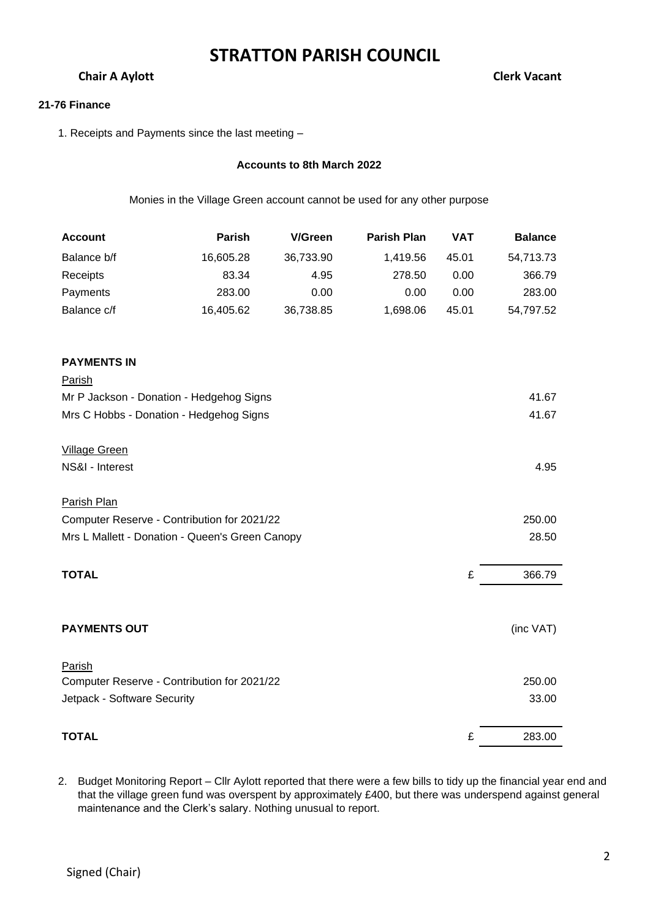# **Chair A Aylott** Chair A Aylott Chair A Aylott Chair A Aylott Chair A Aylott Chair A Aylott Chair A Aylott Chair A Aylott Chair A Aylott Chair A Aylott Chair A Aylott Chair A Aylott Chair A Aylott Chair A Aylott Chair A Ay

### **21-76 Finance**

1. Receipts and Payments since the last meeting –

## **Accounts to 8th March 2022**

Monies in the Village Green account cannot be used for any other purpose

| <b>Account</b>                                  | Parish    | <b>V/Green</b> | <b>Parish Plan</b> | <b>VAT</b> | <b>Balance</b> |
|-------------------------------------------------|-----------|----------------|--------------------|------------|----------------|
| Balance b/f                                     | 16,605.28 | 36,733.90      | 1,419.56           | 45.01      | 54,713.73      |
| Receipts                                        | 83.34     | 4.95           | 278.50             | 0.00       | 366.79         |
| Payments                                        | 283.00    | 0.00           | 0.00               | 0.00       | 283.00         |
| Balance c/f                                     | 16,405.62 | 36,738.85      | 1,698.06           | 45.01      | 54,797.52      |
| <b>PAYMENTS IN</b>                              |           |                |                    |            |                |
| <b>Parish</b>                                   |           |                |                    |            |                |
| Mr P Jackson - Donation - Hedgehog Signs        |           |                |                    |            | 41.67          |
| Mrs C Hobbs - Donation - Hedgehog Signs         |           |                |                    |            | 41.67          |
|                                                 |           |                |                    |            |                |
| <b>Village Green</b>                            |           |                |                    |            |                |
| NS&I - Interest                                 |           |                |                    |            | 4.95           |
|                                                 |           |                |                    |            |                |
| Parish Plan                                     |           |                |                    |            |                |
| Computer Reserve - Contribution for 2021/22     |           |                |                    |            | 250.00         |
| Mrs L Mallett - Donation - Queen's Green Canopy |           |                |                    |            | 28.50          |
|                                                 |           |                |                    |            |                |
| <b>TOTAL</b>                                    |           |                |                    | £          | 366.79         |
|                                                 |           |                |                    |            |                |
| <b>PAYMENTS OUT</b>                             |           |                |                    |            | (inc VAT)      |
|                                                 |           |                |                    |            |                |
| Parish                                          |           |                |                    |            |                |
| Computer Reserve - Contribution for 2021/22     |           |                |                    |            | 250.00         |
| Jetpack - Software Security                     |           |                |                    |            | 33.00          |
|                                                 |           |                |                    |            |                |
| <b>TOTAL</b>                                    |           |                |                    | £          | 283.00         |

2. Budget Monitoring Report – Cllr Aylott reported that there were a few bills to tidy up the financial year end and that the village green fund was overspent by approximately £400, but there was underspend against general maintenance and the Clerk's salary. Nothing unusual to report.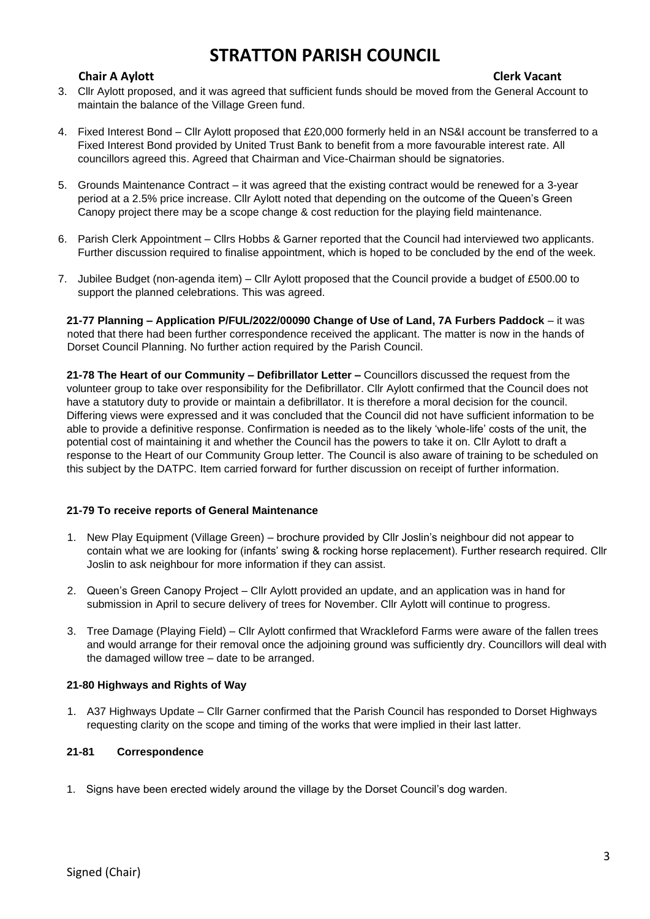# **Chair A Aylott Clerk Vacant**

- 3. Cllr Aylott proposed, and it was agreed that sufficient funds should be moved from the General Account to maintain the balance of the Village Green fund.
- 4. Fixed Interest Bond Cllr Aylott proposed that £20,000 formerly held in an NS&I account be transferred to a Fixed Interest Bond provided by United Trust Bank to benefit from a more favourable interest rate. All councillors agreed this. Agreed that Chairman and Vice-Chairman should be signatories.
- 5. Grounds Maintenance Contract it was agreed that the existing contract would be renewed for a 3-year period at a 2.5% price increase. Cllr Aylott noted that depending on the outcome of the Queen's Green Canopy project there may be a scope change & cost reduction for the playing field maintenance.
- 6. Parish Clerk Appointment Cllrs Hobbs & Garner reported that the Council had interviewed two applicants. Further discussion required to finalise appointment, which is hoped to be concluded by the end of the week.
- 7. Jubilee Budget (non-agenda item) Cllr Aylott proposed that the Council provide a budget of £500.00 to support the planned celebrations. This was agreed.

**21-77 Planning – Application P/FUL/2022/00090 Change of Use of Land, 7A Furbers Paddock** – it was noted that there had been further correspondence received the applicant. The matter is now in the hands of Dorset Council Planning. No further action required by the Parish Council.

**21-78 The Heart of our Community – Defibrillator Letter –** Councillors discussed the request from the volunteer group to take over responsibility for the Defibrillator. Cllr Aylott confirmed that the Council does not have a statutory duty to provide or maintain a defibrillator. It is therefore a moral decision for the council. Differing views were expressed and it was concluded that the Council did not have sufficient information to be able to provide a definitive response. Confirmation is needed as to the likely 'whole-life' costs of the unit, the potential cost of maintaining it and whether the Council has the powers to take it on. Cllr Aylott to draft a response to the Heart of our Community Group letter. The Council is also aware of training to be scheduled on this subject by the DATPC. Item carried forward for further discussion on receipt of further information.

## **21-79 To receive reports of General Maintenance**

- 1. New Play Equipment (Village Green) brochure provided by Cllr Joslin's neighbour did not appear to contain what we are looking for (infants' swing & rocking horse replacement). Further research required. Cllr Joslin to ask neighbour for more information if they can assist.
- 2. Queen's Green Canopy Project Cllr Aylott provided an update, and an application was in hand for submission in April to secure delivery of trees for November. Cllr Aylott will continue to progress.
- 3. Tree Damage (Playing Field) Cllr Aylott confirmed that Wrackleford Farms were aware of the fallen trees and would arrange for their removal once the adjoining ground was sufficiently dry. Councillors will deal with the damaged willow tree – date to be arranged.

## **21-80 Highways and Rights of Way**

1. A37 Highways Update – Cllr Garner confirmed that the Parish Council has responded to Dorset Highways requesting clarity on the scope and timing of the works that were implied in their last latter.

### **21-81 Correspondence**

1. Signs have been erected widely around the village by the Dorset Council's dog warden.